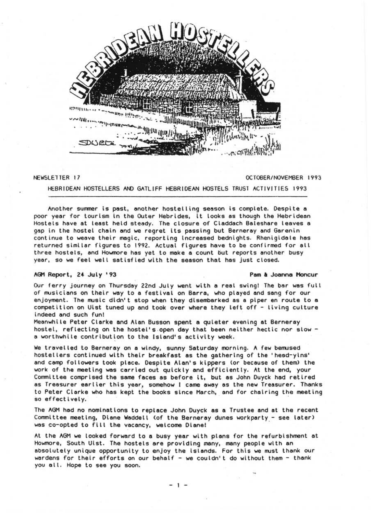

NEWSLETTER 17 OCTOBER/NOVEMBER 1993

## HEBRIDEAN HOSTELLERS AND GATLIFF HEBRIDEAN HOSTELS TRUST ACTIVITIES 1993

Another summer is past, another hostel ling season is complete. Despite a poor year for tourism in the Outer Hebrides, it looks as though the Hebridean Hostels have at least held steady. The closure of Claddach Baleshare leaves a gap in the hostel chain and we regret its passing but Berneray and Garenin continue to weave their magic, reporting Increased bednights. Rhenigidale has returned similar figures to 1992. Actual figures have to be confirmed for all three hostels, and Howmore has yet to make a count but reports another busy year, so we feel well satisfied with the season that has just closed.

# AGM Report. 24 July '93 Pam & Joanna Moncur

Our ferry journey on Thursday 22nd July went with a real swing! The bar was full of musicians on their way to a festival on Barra, who played and sang for our enjoyment. The music didn't stop when they disembarked as a piper en route to a competition on Uist tuned up and took over where they left off - living culture indeed and such fun!

Meanwhile Peter Clarke and Alan Busson spent a quieter evening at Berneray hostel, reflecting on the hostel's.open day that been neither hectic nor slow a worthwhile contribution to the Island's activity week.

We travelled to Berneray on a windy, sunny Saturday morning. A few bemused hosteliers continued with their breakfast as the gathering of the 'head-yins' and camp followers took place. Despite Aian's kippers (or because of them) the work of the meeting was carried out quickly and efficiently. At the end, your Committee comprised the same faces as before it, but as John Duyck had retired as Treasurer eariier this year, somehow I came away as the new Treasurer. Thanks to Peter Clarke who has kept the books since March, and for chairing the meeting so effectively.

The AGM had no nominations to replace John Duyck as a Trustee and at the recent Committee meeting, Diane WaddeLl (of the Berneray dunes workparty - see Later) was co-opted to fill the vacancy, welcome Diane!

At the AGM we looked forward to a busy year with plans for the refurbishment at Howmore, South Uist. The hostels are providing many, many people with an abSOlutely unique opportunity to enjoy the islands. For this we rust thank our wardens for their efforts on our behalf - we couldn't do without them - thank you all. Hope to see you soon.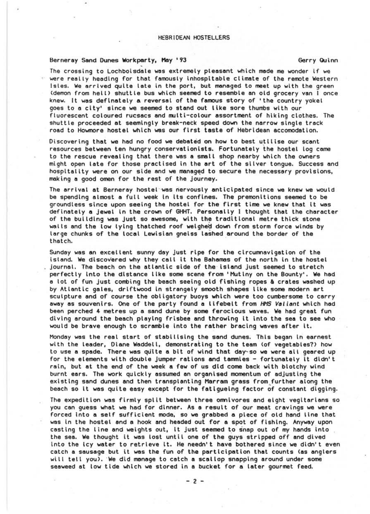### Berneray Sand Dunes Workparty, May '93 Gerry Quinn

The crossing to Lochboisdale was extremely pleasant which made me wonder if we were really heading for that famously inhospitable climate of the remote Western Isles. We arrived quite late in the port, but managed to meet up with the green (demon from hell) shuttle bus which seemed to resemble an old grocery van I once knew. It was definately a reversal of the famous story of 'the country yokel goes to a city' since we seemed to stand out like sore thumbs with our fluorescent coloured rucsacs and multi-colour assortment of hlking clothes. The shuttle proceeded at seemingly break-neck speed down the narrow single track road to Howmore hostel which was our first taste of Hebridean accomodation.

Discovering that we had no food we debated on how to best utilise our scant resources between ten hungry conservationists. Fortunately the hostel log came to the rescue revealing that there was a small shop nearby which the owners might open late for those practised in the art of the silver tongue. Success and hospitality were on our side and we managed to secure the necessary provisions, making a good omen for the rest of the journey.

The arrival at Berneray hostel was nervously anticipated since we knew we would be spending almost a full week in its confines. The premonitions seemed to be groundless since upon seeing the hostel for the first time we knew that it was definately a Jewel in the crown of GHHT. Personally I thought that the character of the building was just so awesome, with the traditional metre thick stone walls and the low lying thatched roof welghed down from storm force winds by large chunks of the local Lewisian gneiss lashed around the border of the thatch.

Sunday was an excellent sunny day just ripe for the circumnavigation of the island. We dlscovered why they call it the Bahamas of the north In the hostel journal. The beach on the atlantic side of the island just seemed to stretch perfectly into the distance like some scene from 'Mutiny on the Bounty'. We had a lot of fun just combing the beach seeing old fishing ropes & crates waShed up by Atlantic gales, driftwood in strangely smooth shapes like some modern art sculpture and of course the Obligatory buoys which were too cumbersome to carry away as souvenirs. One of the party found a lifebelt from HMS Valiant which had been perched 4 metres up a sand dune by some ferocious waves. We had great fun diving around the beach playing frisbee and throwing it into the sea to see who would be brave enough to scramble into the rather bracing waves after it.

Monday was the real start of stabilising the sand dunes. This began in earnest with the leader, Diane Waddell, demonstrating to the team (of vegetables?) how to use a spade. There was quite a blt of wlnd that day-so we were all geared up for the elements with double jumper rations and tammies - fortunately it didn't rain, but at the end of the week a few of us did come back with blotchy wind burnt ears. The work quickly assumed an organised momentum of adjusting the existing sand dunes and then transplanting Marram grass from,further along the beach so it was quite easy except for the fatiqueing factor of constant digging.

The expedition was firmly split between three omnivores and eight vegitarians so you can guess what we had for dinner. As a result of our meat cravings we were forced Into a self sufficient mode, so we grabbed a piece of old hand Line that was in the hostel and a hook and headed out for a spot of fishlng. Anyway upon casting the line and weights out, it just seemed to snap out of my hands into the sea. We thought it was lost until one of the guys stripped off and dived into the icy water to retrieve it. He needn't have bothered since we didn't even catch a sausage but it was the fun of the participation that counts (as anglers will tell you). We did manage to catch a scallop snapping around under some seaweed at low tide which we stored in a bucket for a later gourmet feed.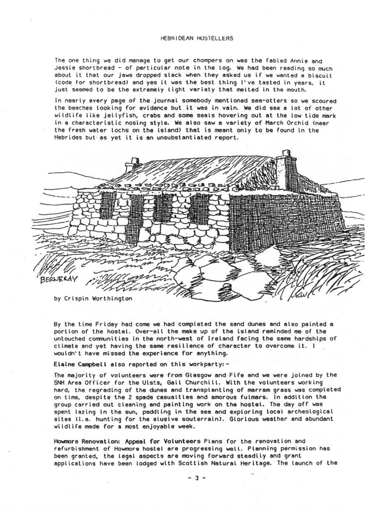The one thing we did manage to get our chompers on wos the fobled Annie and Jessie shortbread - of particular note in the log. We had been reading so much about it that our jaws dropped slack when they asked us if we wanted a biscuit (code for shortbread) ond yes it was the best thing I've tasted in years, it just seerred to be the extremely light variety that melted in the mouth.

In nearly every page of the journal somebody mentioned sea-otters so we scoured the beaches looking for evidence but it was in vain. We did see a lot of other wildlife like jellyfish, crabs and some seals hovering out at the low tide mark in a characteristic nosing style. We also saw a variety of March Orchid (near the fresh water lochs on the island) that is meant only to be found in the Hebrides but as yet it is an unsubstantiated report.



By the time Friday had come we had completed the sand dunes and also painted a portion of the hostel. Over-oil the make up of the island reminded me of the untouched communities in the north-west of Ireland facing the same hardships of climate and yet having the same resilience of character to overcome it. I wouldn't have missed the experience for anything.

Elaine Campbell also reported on this workparty:-

The majority of volunteers were from Glasgow and Fife and we were joined by the SNH Area Officer for the Uists, Gail ChurChill. With the volunteers working hard, the regrading of the dunes and transplanting of marram grass was completed on time. despite the 2 spade casualties and amorous fulmars. In addition the group carried out cleaning and painting work on the hostel. The day off was spent lazing In the sun, paddling in the sea and exploring local archeological sites (i.e. hunting for the elusive souterrain). Glorious weather and abundant wildlife made for a most enjoyable week.

Howmore Renovation: Appeal for Volunteers Plans for the renovation and refurbishment of Howmore hostel are progressing well. Planning permission has been granted, the legal aspects are moving forward steadily and grant applications have been lodged with Scottish Natural Heritage. The launch of the